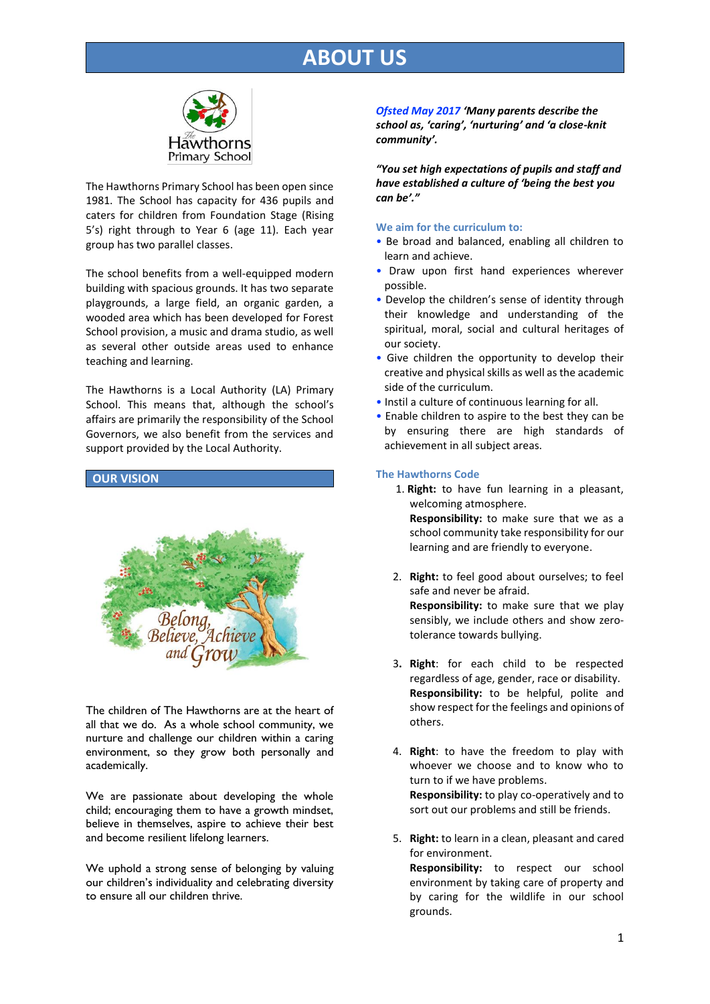# **ABOUT US**



The Hawthorns Primary School has been open since 1981. The School has capacity for 436 pupils and caters for children from Foundation Stage (Rising 5's) right through to Year 6 (age 11). Each year group has two parallel classes.

The school benefits from a well-equipped modern building with spacious grounds. It has two separate playgrounds, a large field, an organic garden, a wooded area which has been developed for Forest School provision, a music and drama studio, as well as several other outside areas used to enhance teaching and learning.

The Hawthorns is a Local Authority (LA) Primary School. This means that, although the school's affairs are primarily the responsibility of the School Governors, we also benefit from the services and support provided by the Local Authority.

### **OUR VISION**



The children of The Hawthorns are at the heart of all that we do. As a whole school community, we nurture and challenge our children within a caring environment, so they grow both personally and academically.

We are passionate about developing the whole child; encouraging them to have a growth mindset, believe in themselves, aspire to achieve their best and become resilient lifelong learners.

We uphold a strong sense of belonging by valuing our children's individuality and celebrating diversity to ensure all our children thrive.

*Ofsted May 2017 'Many parents describe the school as, 'caring', 'nurturing' and 'a close-knit community'.*

*"You set high expectations of pupils and staff and have established a culture of 'being the best you can be'."*

## **We aim for the curriculum to:**

- Be broad and balanced, enabling all children to learn and achieve.
- Draw upon first hand experiences wherever possible.
- Develop the children's sense of identity through their knowledge and understanding of the spiritual, moral, social and cultural heritages of our society.
- Give children the opportunity to develop their creative and physical skills as well as the academic side of the curriculum.
- Instil a culture of continuous learning for all.
- Enable children to aspire to the best they can be by ensuring there are high standards of achievement in all subject areas.

#### **The Hawthorns Code**

- 1. **Right:** to have fun learning in a pleasant, welcoming atmosphere. **Responsibility:** to make sure that we as a school community take responsibility for our learning and are friendly to everyone.
- 2. **Right:** to feel good about ourselves; to feel safe and never be afraid. **Responsibility:** to make sure that we play sensibly, we include others and show zerotolerance towards bullying.
- 3**. Right**: for each child to be respected regardless of age, gender, race or disability. **Responsibility:** to be helpful, polite and show respect for the feelings and opinions of others.
- 4. **Right**: to have the freedom to play with whoever we choose and to know who to turn to if we have problems. **Responsibility:** to play co-operatively and to sort out our problems and still be friends.
- 5. **Right:** to learn in a clean, pleasant and cared for environment. **Responsibility:** to respect our school environment by taking care of property and by caring for the wildlife in our school grounds.